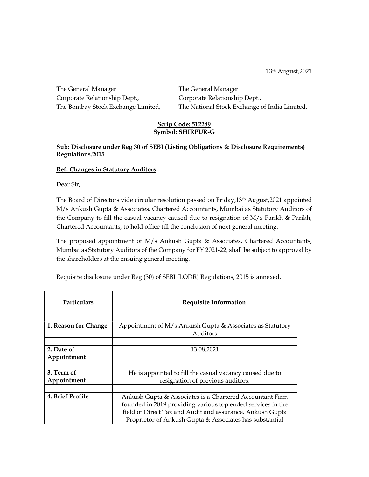13th August,2021

The General Manager The General Manager Corporate Relationship Dept., Corporate Relationship Dept., The Bombay Stock Exchange Limited, The National Stock Exchange of India Limited,

## Scrip Code: 512289 Symbol: SHIRPUR-G

## Sub: Disclosure under Reg 30 of SEBI (Listing Obligations & Disclosure Requirements) Regulations,2015

## Ref: Changes in Statutory Auditors

Dear Sir,

The Board of Directors vide circular resolution passed on Friday,13th August,2021 appointed M/s Ankush Gupta & Associates, Chartered Accountants, Mumbai as Statutory Auditors of the Company to fill the casual vacancy caused due to resignation of M/s Parikh & Parikh, Chartered Accountants, to hold office till the conclusion of next general meeting.

The proposed appointment of M/s Ankush Gupta & Associates, Chartered Accountants, Mumbai as Statutory Auditors of the Company for FY 2021-22, shall be subject to approval by the shareholders at the ensuing general meeting.

Requisite disclosure under Reg (30) of SEBI (LODR) Regulations, 2015 is annexed.

| <b>Particulars</b>   | <b>Requisite Information</b>                                          |
|----------------------|-----------------------------------------------------------------------|
|                      |                                                                       |
| 1. Reason for Change | Appointment of M/s Ankush Gupta & Associates as Statutory<br>Auditors |
|                      |                                                                       |
| 2. Date of           | 13.08.2021                                                            |
| Appointment          |                                                                       |
|                      |                                                                       |
| 3. Term of           | He is appointed to fill the casual vacancy caused due to              |
| Appointment          | resignation of previous auditors.                                     |
|                      |                                                                       |
| 4. Brief Profile     | Ankush Gupta & Associates is a Chartered Accountant Firm              |
|                      | founded in 2019 providing various top ended services in the           |
|                      | field of Direct Tax and Audit and assurance. Ankush Gupta             |
|                      | Proprietor of Ankush Gupta & Associates has substantial               |